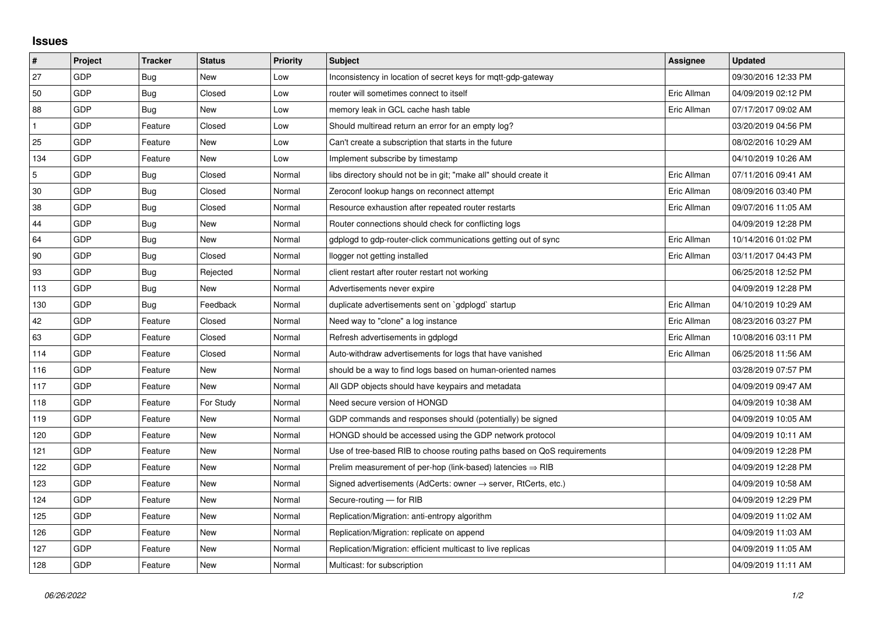## **Issues**

| $\vert$ #      | Project | <b>Tracker</b> | <b>Status</b> | <b>Priority</b> | <b>Subject</b>                                                             | Assignee    | <b>Updated</b>      |
|----------------|---------|----------------|---------------|-----------------|----------------------------------------------------------------------------|-------------|---------------------|
| 27             | GDP     | Bug            | <b>New</b>    | Low             | Inconsistency in location of secret keys for mott-gdp-gateway              |             | 09/30/2016 12:33 PM |
| 50             | GDP     | Bug            | Closed        | Low             | router will sometimes connect to itself                                    | Eric Allman | 04/09/2019 02:12 PM |
| 88             | GDP     | Bug            | New           | Low             | memory leak in GCL cache hash table                                        | Eric Allman | 07/17/2017 09:02 AM |
| $\mathbf{1}$   | GDP     | Feature        | Closed        | Low             | Should multiread return an error for an empty log?                         |             | 03/20/2019 04:56 PM |
| 25             | GDP     | Feature        | New           | Low             | Can't create a subscription that starts in the future                      |             | 08/02/2016 10:29 AM |
| 134            | GDP     | Feature        | New           | Low             | Implement subscribe by timestamp                                           |             | 04/10/2019 10:26 AM |
| $\overline{5}$ | GDP     | Bug            | Closed        | Normal          | libs directory should not be in git; "make all" should create it           | Eric Allman | 07/11/2016 09:41 AM |
| 30             | GDP     | Bug            | Closed        | Normal          | Zeroconf lookup hangs on reconnect attempt                                 | Eric Allman | 08/09/2016 03:40 PM |
| 38             | GDP     | Bug            | Closed        | Normal          | Resource exhaustion after repeated router restarts                         | Eric Allman | 09/07/2016 11:05 AM |
| 44             | GDP     | Bug            | New           | Normal          | Router connections should check for conflicting logs                       |             | 04/09/2019 12:28 PM |
| 64             | GDP     | Bug            | New           | Normal          | gdplogd to gdp-router-click communications getting out of sync             | Eric Allman | 10/14/2016 01:02 PM |
| 90             | GDP     | Bug            | Closed        | Normal          | llogger not getting installed                                              | Eric Allman | 03/11/2017 04:43 PM |
| 93             | GDP     | <b>Bug</b>     | Rejected      | Normal          | client restart after router restart not working                            |             | 06/25/2018 12:52 PM |
| 113            | GDP     | Bug            | New           | Normal          | Advertisements never expire                                                |             | 04/09/2019 12:28 PM |
| 130            | GDP     | Bug            | Feedback      | Normal          | duplicate advertisements sent on `gdplogd` startup                         | Eric Allman | 04/10/2019 10:29 AM |
| 42             | GDP     | Feature        | Closed        | Normal          | Need way to "clone" a log instance                                         | Eric Allman | 08/23/2016 03:27 PM |
| 63             | GDP     | Feature        | Closed        | Normal          | Refresh advertisements in gdplogd                                          | Eric Allman | 10/08/2016 03:11 PM |
| 114            | GDP     | Feature        | Closed        | Normal          | Auto-withdraw advertisements for logs that have vanished                   | Eric Allman | 06/25/2018 11:56 AM |
| 116            | GDP     | Feature        | New           | Normal          | should be a way to find logs based on human-oriented names                 |             | 03/28/2019 07:57 PM |
| 117            | GDP     | Feature        | New           | Normal          | All GDP objects should have keypairs and metadata                          |             | 04/09/2019 09:47 AM |
| 118            | GDP     | Feature        | For Study     | Normal          | Need secure version of HONGD                                               |             | 04/09/2019 10:38 AM |
| 119            | GDP     | Feature        | <b>New</b>    | Normal          | GDP commands and responses should (potentially) be signed                  |             | 04/09/2019 10:05 AM |
| 120            | GDP     | Feature        | New           | Normal          | HONGD should be accessed using the GDP network protocol                    |             | 04/09/2019 10:11 AM |
| 121            | GDP     | Feature        | New           | Normal          | Use of tree-based RIB to choose routing paths based on QoS requirements    |             | 04/09/2019 12:28 PM |
| 122            | GDP     | Feature        | New           | Normal          | Prelim measurement of per-hop (link-based) latencies $\Rightarrow$ RIB     |             | 04/09/2019 12:28 PM |
| 123            | GDP     | Feature        | New           | Normal          | Signed advertisements (AdCerts: owner $\rightarrow$ server, RtCerts, etc.) |             | 04/09/2019 10:58 AM |
| 124            | GDP     | Feature        | <b>New</b>    | Normal          | Secure-routing - for RIB                                                   |             | 04/09/2019 12:29 PM |
| 125            | GDP     | Feature        | New           | Normal          | Replication/Migration: anti-entropy algorithm                              |             | 04/09/2019 11:02 AM |
| 126            | GDP     | Feature        | New           | Normal          | Replication/Migration: replicate on append                                 |             | 04/09/2019 11:03 AM |
| 127            | GDP     | Feature        | New           | Normal          | Replication/Migration: efficient multicast to live replicas                |             | 04/09/2019 11:05 AM |
| 128            | GDP     | Feature        | New           | Normal          | Multicast: for subscription                                                |             | 04/09/2019 11:11 AM |